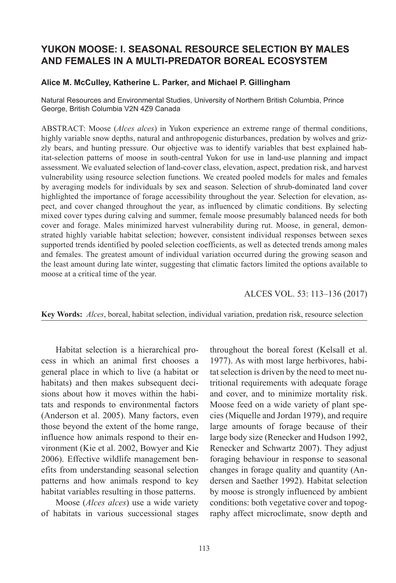# **YUKON MOOSE: I. SEASONAL RESOURCE SELECTION BY MALES AND FEMALES IN A MULTI-PREDATOR BOREAL ECOSYSTEM**

#### **Alice M. McCulley, Katherine L. Parker, and Michael P. Gillingham**

Natural Resources and Environmental Studies, University of Northern British Columbia, Prince George, British Columbia V2N 4Z9 Canada

ABSTRACT: Moose (*Alces alces*) in Yukon experience an extreme range of thermal conditions, highly variable snow depths, natural and anthropogenic disturbances, predation by wolves and grizzly bears, and hunting pressure. Our objective was to identify variables that best explained habitat-selection patterns of moose in south-central Yukon for use in land-use planning and impact assessment. We evaluated selection of land-cover class, elevation, aspect, predation risk, and harvest vulnerability using resource selection functions. We created pooled models for males and females by averaging models for individuals by sex and season. Selection of shrub-dominated land cover highlighted the importance of forage accessibility throughout the year. Selection for elevation, aspect, and cover changed throughout the year, as influenced by climatic conditions. By selecting mixed cover types during calving and summer, female moose presumably balanced needs for both cover and forage. Males minimized harvest vulnerability during rut. Moose, in general, demonstrated highly variable habitat selection; however, consistent individual responses between sexes supported trends identified by pooled selection coefficients, as well as detected trends among males and females. The greatest amount of individual variation occurred during the growing season and the least amount during late winter, suggesting that climatic factors limited the options available to moose at a critical time of the year.

ALCES VOL. 53: 113–136 (2017)

**Key Words:** *Alces*, boreal, habitat selection, individual variation, predation risk, resource selection

Habitat selection is a hierarchical process in which an animal first chooses a general place in which to live (a habitat or habitats) and then makes subsequent decisions about how it moves within the habitats and responds to environmental factors (Anderson et al. 2005). Many factors, even those beyond the extent of the home range, influence how animals respond to their environment ([Kie et al. 2002,](#page-21-0) [Bowyer and Kie](#page-20-0) [2006](#page-20-0)). Effective wildlife management benefits from understanding seasonal selection patterns and how animals respond to key habitat variables resulting in those patterns.

Moose (*Alces alces*) use a wide variety of habitats in various successional stages throughout the boreal forest [\(Kelsall et al.](#page-21-1) [1977](#page-21-1)). As with most large herbivores, habitat selection is driven by the need to meet nutritional requirements with adequate forage and cover, and to minimize mortality risk. Moose feed on a wide variety of plant species [\(Miquelle and Jordan 1979\)](#page-22-0), and require large amounts of forage because of their large body size ([Renecker and Hudson 1992](#page-23-0), [Renecker and Schwartz 2007](#page-23-1)). They adjust foraging behaviour in response to seasonal changes in forage quality and quantity ([An](#page-19-0)[dersen and Saether 1992](#page-19-0)). Habitat selection by moose is strongly influenced by ambient conditions: both vegetative cover and topography affect microclimate, snow depth and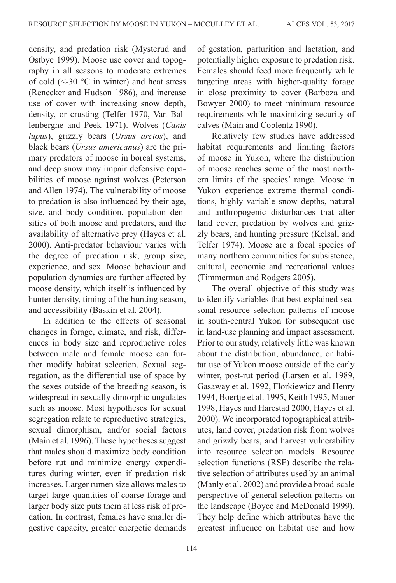density, and predation risk [\(Mysterud and](#page-22-1) [Ostbye 1999](#page-22-1)). Moose use cover and topography in all seasons to moderate extremes of cold  $(\leq -30$  °C in winter) and heat stress (Renecker and Hudson 1986), and increase use of cover with increasing snow depth, density, or crusting (Telfer 1970, Van Ballenberghe and Peek 1971). Wolves (*Canis lupus*), grizzly bears (*Ursus arctos*), and black bears (*Ursus americanus*) are the primary predators of moose in boreal systems, and deep snow may impair defensive capabilities of moose against wolves [\(Peterson](#page-22-2) [and Allen 1974](#page-22-2)). The vulnerability of moose to predation is also influenced by their age, size, and body condition, population densities of both moose and predators, and the availability of alternative prey [\(Hayes et al.](#page-20-1) [2000](#page-20-1)). Anti-predator behaviour varies with the degree of predation risk, group size, experience, and sex. Moose behaviour and population dynamics are further affected by moose density, which itself is influenced by hunter density, timing of the hunting season, and accessibility ([Baskin et al. 2004](#page-19-1)).

In addition to the effects of seasonal changes in forage, climate, and risk, differences in body size and reproductive roles between male and female moose can further modify habitat selection. Sexual segregation, as the differential use of space by the sexes outside of the breeding season, is widespread in sexually dimorphic ungulates such as moose. Most hypotheses for sexual segregation relate to reproductive strategies, sexual dimorphism, and/or social factors [\(Main et al. 1996](#page-21-2)). These hypotheses suggest that males should maximize body condition before rut and minimize energy expenditures during winter, even if predation risk increases. Larger rumen size allows males to target large quantities of coarse forage and larger body size puts them at less risk of predation. In contrast, females have smaller digestive capacity, greater energetic demands of gestation, parturition and lactation, and potentially higher exposure to predation risk. Females should feed more frequently while targeting areas with higher-quality forage in close proximity to cover ([Barboza and](#page-19-2) [Bowyer 2000](#page-19-2)) to meet minimum resource requirements while maximizing security of calves [\(Main and Coblentz 1990](#page-21-3)).

Relatively few studies have addressed habitat requirements and limiting factors of moose in Yukon, where the distribution of moose reaches some of the most northern limits of the species' range. Moose in Yukon experience extreme thermal conditions, highly variable snow depths, natural and anthropogenic disturbances that alter land cover, predation by wolves and grizzly bears, and hunting pressure [\(Kelsall and](#page-21-4) [Telfer 1974\)](#page-21-4). Moose are a focal species of many northern communities for subsistence, cultural, economic and recreational values (Timmerman and Rodgers 2005).

The overall objective of this study was to identify variables that best explained seasonal resource selection patterns of moose in south-central Yukon for subsequent use in land-use planning and impact assessment. Prior to our study, relatively little was known about the distribution, abundance, or habitat use of Yukon moose outside of the early winter, post-rut period [\(Larsen et al. 1989,](#page-21-5) [Gasaway et al. 1992](#page-20-2), [Florkiewicz and Henry](#page-20-3) [1994](#page-20-3), [Boertje et al. 1995,](#page-19-3) Keith 1995, [Mauer](#page-21-6) [1998](#page-21-6), [Hayes and Harestad 2000](#page-20-4), [Hayes et al.](#page-20-1) [2000](#page-20-1)). We incorporated topographical attributes, land cover, predation risk from wolves and grizzly bears, and harvest vulnerability into resource selection models. Resource selection functions (RSF) describe the relative selection of attributes used by an animal [\(Manly et al. 2002](#page-21-7)) and provide a broad-scale perspective of general selection patterns on the landscape ([Boyce and McDonald 1999\)](#page-20-5). They help define which attributes have the greatest influence on habitat use and how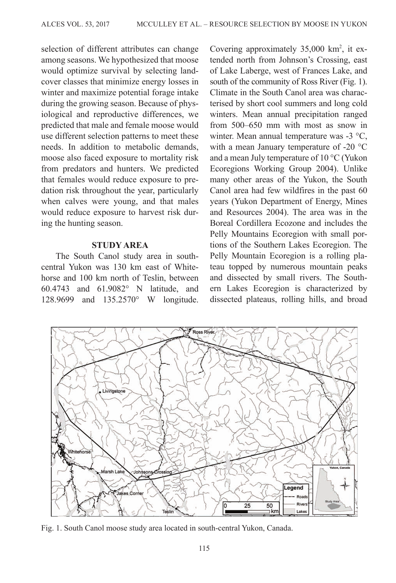<span id="page-2-0"></span>selection of different attributes can change among seasons. We hypothesized that moose would optimize survival by selecting landcover classes that minimize energy losses in winter and maximize potential forage intake during the growing season. Because of physiological and reproductive differences, we predicted that male and female moose would use different selection patterns to meet these needs. In addition to metabolic demands, moose also faced exposure to mortality risk from predators and hunters. We predicted that females would reduce exposure to predation risk throughout the year, particularly when calves were young, and that males would reduce exposure to harvest risk during the hunting season.

### **STUDY AREA**

The South Canol study area in southcentral Yukon was 130 km east of Whitehorse and 100 km north of Teslin, between 60.4743 and 61.9082° N latitude, and 128.9699 and 135.2570° W longitude.

Covering approximately 35,000 km<sup>2</sup>, it extended north from Johnson's Crossing, east of Lake Laberge, west of Frances Lake, and south of the community of Ross River (Fig. 1). Climate in the South Canol area was characterised by short cool summers and long cold winters. Mean annual precipitation ranged from 500–650 mm with most as snow in winter. Mean annual temperature was -3 °C, with a mean January temperature of -20 °C and a mean July temperature of 10 °C (Yukon Ecoregions Working Group 2004). Unlike many other areas of the Yukon, the South Canol area had few wildfires in the past 60 years (Yukon Department of Energy, Mines and Resources 2004). The area was in the Boreal Cordillera Ecozone and includes the Pelly Mountains Ecoregion with small portions of the Southern Lakes Ecoregion. The Pelly Mountain Ecoregion is a rolling plateau topped by numerous mountain peaks and dissected by small rivers. The Southern Lakes Ecoregion is characterized by dissected plateaus, rolling hills, and broad



Fig. 1. South Canol moose study area located in south-central Yukon, Canada.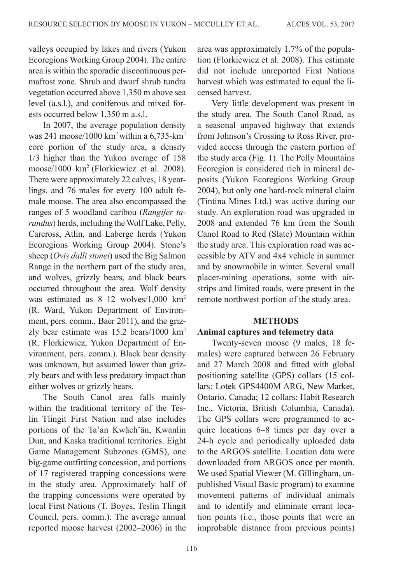valleys occupied by lakes and rivers (Yukon Ecoregions Working Group 2004). The entire area is within the sporadic discontinuous permafrost zone. Shrub and dwarf shrub tundra vegetation occurred above 1,350 m above sea level (a.s.l.), and coniferous and mixed forests occurred below 1,350 m a.s.l.

In 2007, the average population density was 241 moose/1000 km2 within a 6,735-km2 core portion of the study area, a density 1/3 higher than the Yukon average of 158 moose/1000 km2 [\(Florkiewicz et al. 2008](#page-20-6)). There were approximately 22 calves, 18 yearlings, and 76 males for every 100 adult female moose. The area also encompassed the ranges of 5 woodland caribou (*Rangifer tarandus*) herds, including the Wolf Lake, Pelly, Carcross, Atlin, and Laberge herds (Yukon Ecoregions Working Group 2004). Stone's sheep (*Ovis dalli stonei*) used the Big Salmon Range in the northern part of the study area, and wolves, grizzly bears, and black bears occurred throughout the area. Wolf density was estimated as 8-12 wolves/1,000 km<sup>2</sup> (R. Ward, Yukon Department of Environment, pers. comm., [Baer 2011](#page-19-4)), and the grizzly bear estimate was 15.2 bears/1000 km2 (R. Florkiewicz, Yukon Department of Environment, pers. comm.). Black bear density was unknown, but assumed lower than grizzly bears and with less predatory impact than either wolves or grizzly bears.

The South Canol area falls mainly within the traditional territory of the Teslin Tlingit First Nation and also includes portions of the Ta'an Kwäch'än, Kwanlin Dun, and Kaska traditional territories. Eight Game Management Subzones (GMS), one big-game outfitting concession, and portions of 17 registered trapping concessions were in the study area. Approximately half of the trapping concessions were operated by local First Nations (T. Boyes, Teslin Tlingit Council, pers. comm.). The average annual reported moose harvest (2002–2006) in the

area was approximately 1.7% of the population [\(Florkiewicz et al. 2008\)](#page-20-6). This estimate did not include unreported First Nations harvest which was estimated to equal the licensed harvest.

Very little development was present in the study area. The South Canol Road, as a seasonal unpaved highway that extends from Johnson's Crossing to Ross River, provided access through the eastern portion of the study area [\(Fig. 1\)](#page-2-0). The Pelly Mountains Ecoregion is considered rich in mineral deposits (Yukon Ecoregions Working Group 2004), but only one hard-rock mineral claim (Tintina Mines Ltd.) was active during our study. An exploration road was upgraded in 2008 and extended 76 km from the South Canol Road to Red (Slate) Mountain within the study area. This exploration road was accessible by ATV and 4x4 vehicle in summer and by snowmobile in winter. Several small placer-mining operations, some with airstrips and limited roads, were present in the remote northwest portion of the study area.

#### **METHODS**

## **Animal captures and telemetry data**

Twenty-seven moose (9 males, 18 females) were captured between 26 February and 27 March 2008 and fitted with global positioning satellite (GPS) collars (15 collars: Lotek GPS4400M ARG, New Market, Ontario, Canada; 12 collars: Habit Research Inc., Victoria, British Columbia, Canada). The GPS collars were programmed to acquire locations 6–8 times per day over a 24-h cycle and periodically uploaded data to the ARGOS satellite. Location data were downloaded from ARGOS once per month. We used Spatial Viewer (M. Gillingham, unpublished Visual Basic program) to examine movement patterns of individual animals and to identify and eliminate errant location points (i.e., those points that were an improbable distance from previous points)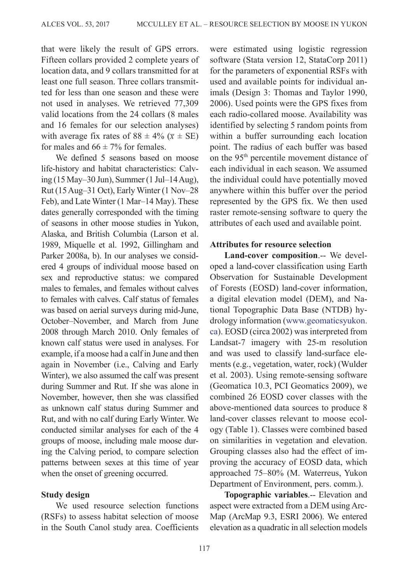that were likely the result of GPS errors. Fifteen collars provided 2 complete years of location data, and 9 collars transmitted for at least one full season. Three collars transmitted for less than one season and these were not used in analyses. We retrieved 77,309 valid locations from the 24 collars (8 males and 16 females for our selection analyses) with average fix rates of  $88 \pm 4\%$  ( $\overline{x} \pm \text{SE}$ ) for males and  $66 \pm 7\%$  for females.

We defined 5 seasons based on moose life-history and habitat characteristics: Calving (15 May–30 Jun), Summer (1 Jul–14 Aug), Rut (15 Aug–31 Oct), Early Winter (1 Nov–28 Feb), and Late Winter (1 Mar–14 May). These dates generally corresponded with the timing of seasons in other moose studies in Yukon, Alaska, and British Columbia (Larson et al. 1989, [Miquelle et al.](#page-22-3) 1992, [Gillingham and](#page-20-7) [Parker 2008a](#page-20-7), [b\)](#page-20-8). In our analyses we considered 4 groups of individual moose based on sex and reproductive status: we compared males to females, and females without calves to females with calves. Calf status of females was based on aerial surveys during mid-June, October–November, and March from June 2008 through March 2010. Only females of known calf status were used in analyses. For example, if a moose had a calf in June and then again in November (i.e., Calving and Early Winter), we also assumed the calf was present during Summer and Rut. If she was alone in November, however, then she was classified as unknown calf status during Summer and Rut, and with no calf during Early Winter. We conducted similar analyses for each of the 4 groups of moose, including male moose during the Calving period, to compare selection patterns between sexes at this time of year when the onset of greening occurred.

## **Study design**

We used resource selection functions (RSFs) to assess habitat selection of moose in the South Canol study area. Coefficients were estimated using logistic regression software (Stata version 12, StataCorp 2011) for the parameters of exponential RSFs with used and available points for individual animals (Design 3: Thomas and Taylor 1990, [2006](#page-23-2)). Used points were the GPS fixes from each radio-collared moose. Availability was identified by selecting 5 random points from within a buffer surrounding each location point. The radius of each buffer was based on the 95<sup>th</sup> percentile movement distance of each individual in each season. We assumed the individual could have potentially moved anywhere within this buffer over the period represented by the GPS fix. We then used raster remote-sensing software to query the attributes of each used and available point.

### **Attributes for resource selection**

**Land-cover composition**.-- We developed a land-cover classification using Earth Observation for Sustainable Development of Forests (EOSD) land-cover information, a digital elevation model (DEM), and National Topographic Data Base (NTDB) hydrology information [\(www.geomaticsyukon.](www.geomaticsyukon.ca) [ca\)](www.geomaticsyukon.ca). EOSD (circa 2002) was interpreted from Landsat-7 imagery with 25-m resolution and was used to classify land-surface elements (e.g., vegetation, water, rock) (Wulder et al. 2003). Using remote-sensing software (Geomatica 10.3, PCI Geomatics 2009), we combined 26 EOSD cover classes with the above-mentioned data sources to produce 8 land-cover classes relevant to moose ecology ([Table 1](#page-5-0)). Classes were combined based on similarities in vegetation and elevation. Grouping classes also had the effect of improving the accuracy of EOSD data, which approached 75–80% (M. Waterreus, Yukon Department of Environment, pers. comm.).

**Topographic variables**.-- Elevation and aspect were extracted from a DEM using Arc-Map (ArcMap 9.3, [ESRI 2006\)](#page-20-9). We entered elevation as a quadratic in all selection models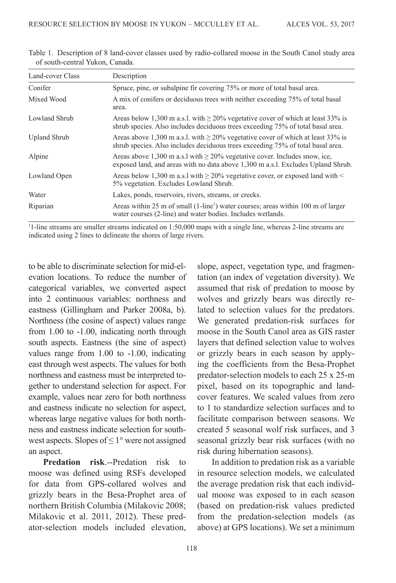| Land-cover Class    | Description                                                                                                                                                             |
|---------------------|-------------------------------------------------------------------------------------------------------------------------------------------------------------------------|
| Conifer             | Spruce, pine, or subalpine fir covering 75% or more of total basal area.                                                                                                |
| Mixed Wood          | A mix of conifers or deciduous trees with neither exceeding 75% of total basal<br>area.                                                                                 |
| Lowland Shrub       | Areas below 1,300 m a.s.l. with $\geq$ 20% vegetative cover of which at least 33% is<br>shrub species. Also includes deciduous trees exceeding 75% of total basal area. |
| <b>Upland Shrub</b> | Areas above 1,300 m a.s.l. with $\geq$ 20% vegetative cover of which at least 33% is<br>shrub species. Also includes deciduous trees exceeding 75% of total basal area. |
| Alpine              | Areas above 1,300 m a.s.1 with $\geq$ 20% vegetative cover. Includes snow, ice,<br>exposed land, and areas with no data above 1,300 m a.s.l. Excludes Upland Shrub.     |
| Lowland Open        | Areas below 1,300 m a.s.l with $\geq$ 20% vegetative cover, or exposed land with <<br>5% vegetation. Excludes Lowland Shrub.                                            |
| Water               | Lakes, ponds, reservoirs, rivers, streams, or creeks.                                                                                                                   |
| Riparian            | Areas within 25 m of small (1-line <sup>1</sup> ) water courses; areas within 100 m of larger<br>water courses (2-line) and water bodies. Includes wetlands.            |

<span id="page-5-0"></span>Table 1. Description of 8 land-cover classes used by radio-collared moose in the South Canol study area of south-central Yukon, Canada.

<sup>1</sup>1-line streams are smaller streams indicated on 1:50,000 maps with a single line, whereas 2-line streams are indicated using 2 lines to delineate the shores of large rivers.

to be able to discriminate selection for mid-elevation locations. To reduce the number of categorical variables, we converted aspect into 2 continuous variables: northness and eastness ([Gillingham and Parker 2008a](#page-20-7), [b](#page-20-8)). Northness (the cosine of aspect) values range from 1.00 to -1.00, indicating north through south aspects. Eastness (the sine of aspect) values range from 1.00 to -1.00, indicating east through west aspects. The values for both northness and eastness must be interpreted together to understand selection for aspect. For example, values near zero for both northness and eastness indicate no selection for aspect, whereas large negative values for both northness and eastness indicate selection for southwest aspects. Slopes of  $\leq 1^{\circ}$  were not assigned an aspect.

**Predation risk**.--Predation risk to moose was defined using RSFs developed for data from GPS-collared wolves and grizzly bears in the Besa-Prophet area of northern British Columbia [\(Milakovic 2008](#page-21-8); [Milakovic et al. 2011](#page-22-4), [2012\)](#page-22-5). These predator-selection models included elevation,

slope, aspect, vegetation type, and fragmentation (an index of vegetation diversity). We assumed that risk of predation to moose by wolves and grizzly bears was directly related to selection values for the predators. We generated predation-risk surfaces for moose in the South Canol area as GIS raster layers that defined selection value to wolves or grizzly bears in each season by applying the coefficients from the Besa-Prophet predator-selection models to each 25 x 25-m pixel, based on its topographic and landcover features. We scaled values from zero to 1 to standardize selection surfaces and to facilitate comparison between seasons. We created 5 seasonal wolf risk surfaces, and 3 seasonal grizzly bear risk surfaces (with no risk during hibernation seasons).

In addition to predation risk as a variable in resource selection models, we calculated the average predation risk that each individual moose was exposed to in each season (based on predation-risk values predicted from the predation-selection models (as above) at GPS locations). We set a minimum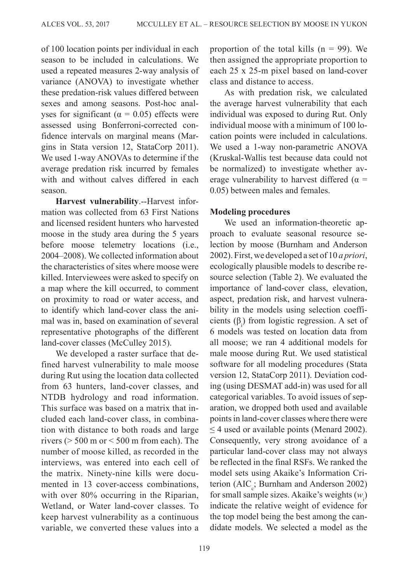of 100 location points per individual in each season to be included in calculations. We used a repeated measures 2-way analysis of variance (ANOVA) to investigate whether these predation-risk values differed between sexes and among seasons. Post-hoc analyses for significant ( $\alpha = 0.05$ ) effects were assessed using Bonferroni-corrected confidence intervals on marginal means (Margins in Stata version 12, StataCorp 2011). We used 1-way ANOVAs to determine if the average predation risk incurred by females with and without calves differed in each season.

**Harvest vulnerability**.--Harvest information was collected from 63 First Nations and licensed resident hunters who harvested moose in the study area during the 5 years before moose telemetry locations (i.e., 2004–2008). We collected information about the characteristics of sites where moose were killed. Interviewees were asked to specify on a map where the kill occurred, to comment on proximity to road or water access, and to identify which land-cover class the animal was in, based on examination of several representative photographs of the different land-cover classes ([McCulley 2015\)](#page-21-9).

We developed a raster surface that defined harvest vulnerability to male moose during Rut using the location data collected from 63 hunters, land-cover classes, and NTDB hydrology and road information. This surface was based on a matrix that included each land-cover class, in combination with distance to both roads and large rivers ( $> 500$  m or  $< 500$  m from each). The number of moose killed, as recorded in the interviews, was entered into each cell of the matrix. Ninety-nine kills were documented in 13 cover-access combinations, with over 80% occurring in the Riparian, Wetland, or Water land-cover classes. To keep harvest vulnerability as a continuous variable, we converted these values into a proportion of the total kills  $(n = 99)$ . We then assigned the appropriate proportion to each 25 x 25-m pixel based on land-cover class and distance to access.

As with predation risk, we calculated the average harvest vulnerability that each individual was exposed to during Rut. Only individual moose with a minimum of 100 location points were included in calculations. We used a 1-way non-parametric ANOVA (Kruskal-Wallis test because data could not be normalized) to investigate whether average vulnerability to harvest differed ( $\alpha$  = 0.05) between males and females.

## **Modeling procedures**

We used an information-theoretic approach to evaluate seasonal resource selection by moose ([Burnham and Anderson](#page-20-10) [2002](#page-20-10)). First, we developed a set of 10 *a priori*, ecologically plausible models to describe resource selection [\(Table 2](#page-7-0)). We evaluated the importance of land-cover class, elevation, aspect, predation risk, and harvest vulnerability in the models using selection coefficients  $(\beta)$  from logistic regression. A set of 6 models was tested on location data from all moose; we ran 4 additional models for male moose during Rut. We used statistical software for all modeling procedures (Stata version 12, StataCorp 2011). Deviation coding (using DESMAT add-in) was used for all categorical variables. To avoid issues of separation, we dropped both used and available points in land-cover classes where there were  $\leq$  4 used or available points ([Menard 2002\)](#page-21-10). Consequently, very strong avoidance of a particular land-cover class may not always be reflected in the final RSFs. We ranked the model sets using Akaike's Information Criterion ( $AIC<sub>c</sub>$ ; [Burnham and Anderson 2002](#page-20-10)) for small sample sizes. Akaike's weights  $(w_i)$ indicate the relative weight of evidence for the top model being the best among the candidate models. We selected a model as the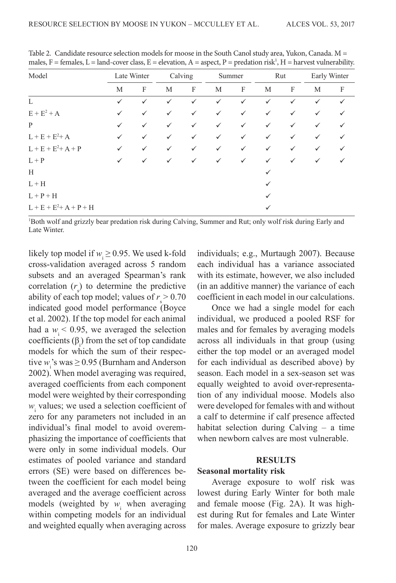| Model                       |              | Late Winter |              | Calving      |              | Summer       |              | Rut          |              | Early Winter |
|-----------------------------|--------------|-------------|--------------|--------------|--------------|--------------|--------------|--------------|--------------|--------------|
|                             | M            | F           | М            | F            | М            | F            | M            | $\mathbf{F}$ | M            | F            |
| L                           | $\checkmark$ | ✓           | $\checkmark$ | ✓            | $\checkmark$ | $\checkmark$ | ✓            | $\checkmark$ | $\checkmark$ |              |
| $E + E^2 + A$               | $\checkmark$ | ✓           | $\checkmark$ | ✓            | $\checkmark$ | $\checkmark$ | ✓            | ✓            | ✓            |              |
| P                           | $\checkmark$ | ✓           | $\checkmark$ | $\checkmark$ | $\checkmark$ | $\checkmark$ | ✓            | ✓            |              |              |
| $L + E + E^{2} + A$         | $\checkmark$ | ✓           | $\checkmark$ | ✓            | $\checkmark$ | $\checkmark$ | $\checkmark$ | $\checkmark$ | ✓            |              |
| $L + E + E^{2} + A + P$     | $\checkmark$ | ✓           | $\checkmark$ | ✓            | $\checkmark$ | $\checkmark$ | ✓            | ✓            | ✓            |              |
| $L + P$                     | $\checkmark$ | ✓           | $\checkmark$ | ✓            | $\checkmark$ | $\checkmark$ | ✓            | $\checkmark$ | ✓            |              |
| H                           |              |             |              |              |              |              | ✓            |              |              |              |
| $L + H$                     |              |             |              |              |              |              | ✓            |              |              |              |
| $L + P + H$                 |              |             |              |              |              |              | ✓            |              |              |              |
| $L + E + E^{2} + A + P + H$ |              |             |              |              |              |              | ✓            |              |              |              |

<span id="page-7-0"></span>Table 2. Candidate resource selection models for moose in the South Canol study area, Yukon, Canada. M = males,  $F =$  females,  $L =$  land-cover class,  $E =$  elevation,  $A =$  aspect,  $P =$  predation risk<sup>1</sup>,  $H =$  harvest vulnerability.

1 Both wolf and grizzly bear predation risk during Calving, Summer and Rut; only wolf risk during Early and Late Winter.

likely top model if  $w_i \ge 0.95$ . We used k-fold cross-validation averaged across 5 random subsets and an averaged Spearman's rank correlation  $(r<sub>s</sub>)$  to determine the predictive ability of each top model; values of  $r_s > 0.70$ indicated good model performance [\(Boyce](#page-20-11) [et al. 2002](#page-20-11)). If the top model for each animal had a  $w_i$  < 0.95, we averaged the selection coefficients  $(\beta_i)$  from the set of top candidate models for which the sum of their respective  $w_i$ 's was  $\geq$  0.95 ([Burnham and Anderson](#page-20-10) [2002](#page-20-10)). When model averaging was required, averaged coefficients from each component model were weighted by their corresponding  $w_i$  values; we used a selection coefficient of zero for any parameters not included in an individual's final model to avoid overemphasizing the importance of coefficients that were only in some individual models. Our estimates of pooled variance and standard errors (SE) were based on differences between the coefficient for each model being averaged and the average coefficient across models (weighted by  $w_i$  when averaging within competing models for an individual and weighted equally when averaging across

individuals; e.g., [Murtaugh 2007](#page-22-6)). Because each individual has a variance associated with its estimate, however, we also included (in an additive manner) the variance of each coefficient in each model in our calculations.

Once we had a single model for each individual, we produced a pooled RSF for males and for females by averaging models across all individuals in that group (using either the top model or an averaged model for each individual as described above) by season. Each model in a sex-season set was equally weighted to avoid over-representation of any individual moose. Models also were developed for females with and without a calf to determine if calf presence affected habitat selection during Calving – a time when newborn calves are most vulnerable.

#### **RESULTS**

#### **Seasonal mortality risk**

Average exposure to wolf risk was lowest during Early Winter for both male and female moose [\(Fig. 2A\)](#page-8-0). It was highest during Rut for females and Late Winter for males. Average exposure to grizzly bear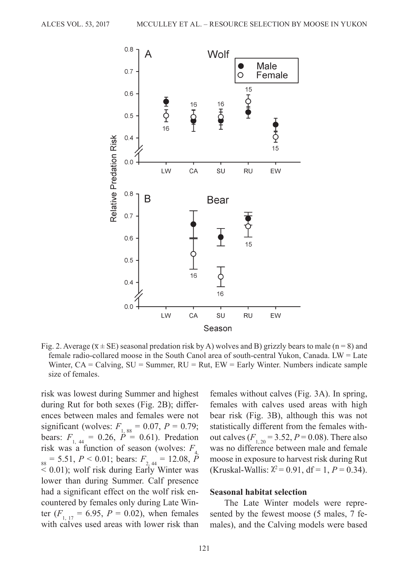<span id="page-8-0"></span>

Fig. 2. Average ( $\overline{x}$  ± SE) seasonal predation risk by A) wolves and B) grizzly bears to male (n = 8) and female radio-collared moose in the South Canol area of south-central Yukon, Canada. LW = Late Winter,  $CA = Calving$ ,  $SU = Summer$ ,  $RU = Rut$ ,  $EW = Early$  Winter. Numbers indicate sample size of females.

risk was lowest during Summer and highest during Rut for both sexes (Fig. 2B); differences between males and females were not significant (wolves:  $F_{1, 88} = 0.07, P = 0.79;$ bears:  $F_{1,44} = 0.26$ ,  $\dot{P} = 0.61$ ). Predation risk was a function of season (wolves:  $F_{\rm A}$  $\frac{4}{88}$  = 5.51, *P* < 0.01; bears:  $F_{2,44}$  = 12.08, *P* < 0.01); wolf risk during Early Winter was lower than during Summer. Calf presence had a significant effect on the wolf risk encountered by females only during Late Winter  $(F_{1, 17} = 6.95, P = 0.02)$ , when females with calves used areas with lower risk than

females without calves ([Fig. 3A\)](#page-9-0). In spring, females with calves used areas with high bear risk ([Fig.](#page-9-0) 3B), although this was not statistically different from the females without calves  $(F_{1, 20} = 3.52, P = 0.08)$ . There also was no difference between male and female moose in exposure to harvest risk during Rut (Kruskal-Wallis:  $\chi^2$  = 0.91, df = 1, *P* = 0.34).

#### **Seasonal habitat selection**

The Late Winter models were represented by the fewest moose (5 males, 7 females), and the Calving models were based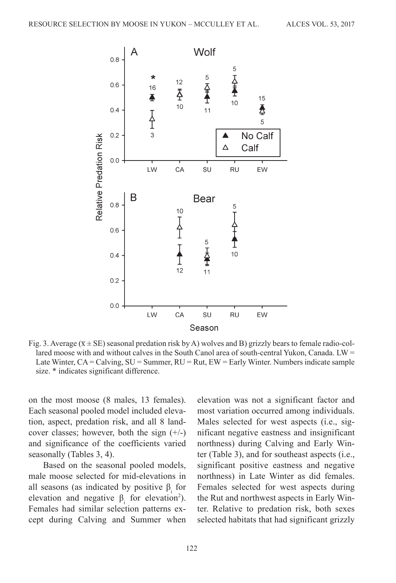<span id="page-9-0"></span>

Fig. 3. Average ( $\overline{x}$  ± SE) seasonal predation risk by A) wolves and B) grizzly bears to female radio-collared moose with and without calves in the South Canol area of south-central Yukon, Canada. LW = Late Winter,  $CA = Calving$ ,  $SU = Summer$ ,  $RU = Rut$ ,  $EW = Early$  Winter. Numbers indicate sample size. \* indicates significant difference.

on the most moose (8 males, 13 females). Each seasonal pooled model included elevation, aspect, predation risk, and all 8 landcover classes; however, both the sign  $(+/-)$ and significance of the coefficients varied seasonally ([Tables 3](#page-10-0), [4](#page-12-0)).

Based on the seasonal pooled models, male moose selected for mid-elevations in all seasons (as indicated by positive  $\beta_i$  for elevation and negative  $\beta_i$  for elevation<sup>2</sup>). Females had similar selection patterns except during Calving and Summer when

elevation was not a significant factor and most variation occurred among individuals. Males selected for west aspects (i.e., significant negative eastness and insignificant northness) during Calving and Early Winter ([Table 3\)](#page-10-0), and for southeast aspects (i.e., significant positive eastness and negative northness) in Late Winter as did females. Females selected for west aspects during the Rut and northwest aspects in Early Winter. Relative to predation risk, both sexes selected habitats that had significant grizzly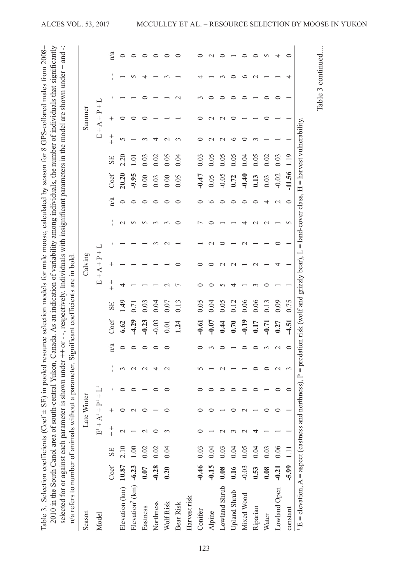<span id="page-10-0"></span>

| Season                              |         |                  |                                 | Late Winter   |             |                   |               |         |      |     | Calving         |   |        |               |          |                   |        | Summer          |   |         |     |
|-------------------------------------|---------|------------------|---------------------------------|---------------|-------------|-------------------|---------------|---------|------|-----|-----------------|---|--------|---------------|----------|-------------------|--------|-----------------|---|---------|-----|
| Model                               |         |                  | $\mathbf{E}^1 + \mathbf{A}^1 +$ |               | $p^{1} + 1$ |                   |               |         |      |     | $E + A + P + L$ |   |        |               |          |                   |        | $E + A + P + L$ |   |         |     |
|                                     | Coef    | SE               | $+$                             | $^+$          | ı           | ı<br>$\mathbf{I}$ | n/a           | Coef    | SE   | $+$ | $^{+}$          | ı | ı      | n/a           | Coef     | SE                | $+$    | $^{+}$          | ı | p<br>I. | n/a |
| Elevation (km) 10.87                |         | 2.10             | $\sim$                          |               |             | 3                 | 0             | 6.62    | 1.49 |     |                 |   | $\sim$ | $\circ$       | 20.20    | 2.20              |        |                 |   |         |     |
| Elevation <sup>2</sup> (km) $-6.23$ |         | 1.00             |                                 | $\mathcal{L}$ |             | $\mathrel{\sim}$  |               | $-4.29$ | 0.71 |     |                 |   |        |               | $-9.95$  | $\overline{1.01}$ |        |                 |   |         |     |
| Eastness                            | 0.07    | 0.02             |                                 | $\circ$       |             | $\sim$            |               | $-0.23$ | 0.03 |     |                 |   |        |               | 0.00     | 0.03              |        |                 |   |         |     |
| Northness                           | $-0.28$ | 0.02             |                                 |               |             | 4                 | ⊂             | $-0.03$ | 0.04 |     |                 |   |        | ⊂             | 0.03     | 0.02              | 4      |                 |   |         |     |
| Wolf Risk                           | 0.20    | 0.04             |                                 | 0             |             | $\sim$            |               | 0.01    | 0.07 |     |                 |   |        |               | 0.00     | 0.05              | $\sim$ |                 |   |         |     |
| Bear Risk                           |         |                  |                                 |               |             |                   |               | 1.24    | 0.13 |     |                 |   |        |               | 0.05     | 0.04              |        |                 |   |         |     |
| Harvest risk                        |         |                  |                                 |               |             |                   |               |         |      |     |                 |   |        |               |          |                   |        |                 |   |         |     |
| Conifer                             | $-0.46$ | 0.03             |                                 |               |             |                   |               | $-0.61$ | 0.05 |     |                 |   |        |               | $-0.47$  | 0.03              |        |                 |   |         |     |
| Alpine                              | $-0.15$ | 0.04             |                                 |               |             |                   |               | $-0.07$ | 0.04 |     |                 |   |        |               | 0.05     | 0.05              |        |                 |   |         |     |
| Lowland Shrub                       | 0.08    | 0.03             |                                 |               |             |                   |               | 0.44    | 0.05 |     |                 |   |        |               | $-0.05$  | 0.05              |        |                 |   |         |     |
| Upland Shrub                        | 0.16    | 0.04             |                                 |               |             |                   |               | 0.70    | 0.12 |     |                 |   |        |               | 0.72     | 0.05              |        |                 |   |         |     |
| Mixed Wood                          | $-0.03$ | 0.05             |                                 |               |             |                   |               | $-0.19$ | 0.06 |     |                 |   |        |               | $-0.40$  | 0.04              |        |                 |   | ≏       |     |
| Riparian                            | 0.53    | 0.04             |                                 |               |             |                   |               | 0.17    | 0.06 |     |                 |   |        |               | 0.13     | 0.05              |        |                 |   | $\sim$  |     |
| Water                               | 0.08    | 0.03             |                                 |               |             |                   |               | $-0.71$ | 0.13 |     |                 |   |        | 4             | 0.03     | 0.02              |        |                 |   |         |     |
| Lowland Open                        | $-0.21$ | 0.06             |                                 |               |             | $\mathcal{C}$     | $\mathcal{C}$ | 0.27    | 0.09 |     |                 |   |        | $\mathcal{C}$ | $-0.02$  | 0.03              |        |                 |   |         | ₹   |
| constant                            | $-5.99$ | $\overline{1}$ . |                                 |               |             | 3                 | $\circ$       | $-4.51$ | 0.75 |     |                 |   | 5      | $\circ$       | $-11.56$ | 1.19              |        |                 |   |         |     |

Table 3 continued....

Table 3 continued....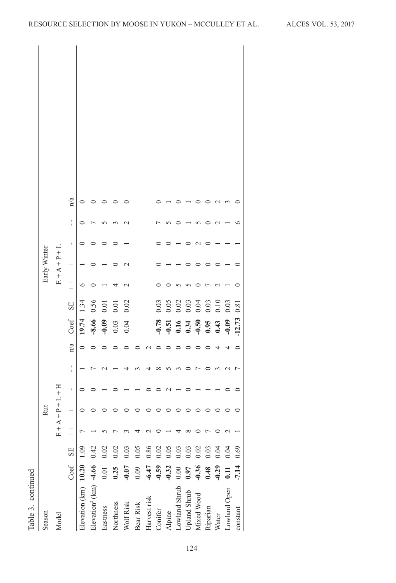| control        |  |
|----------------|--|
| į<br>$T_2$ ble |  |

|              |                 | n/a           |                             |                                         |              |                  |                  |              |                 |                  |                                                     |      |                              |                  |                            |         |                 |
|--------------|-----------------|---------------|-----------------------------|-----------------------------------------|--------------|------------------|------------------|--------------|-----------------|------------------|-----------------------------------------------------|------|------------------------------|------------------|----------------------------|---------|-----------------|
|              |                 | $\frac{1}{1}$ |                             |                                         |              |                  |                  |              |                 |                  |                                                     |      |                              |                  |                            |         |                 |
|              |                 | ı             |                             |                                         |              |                  |                  |              |                 |                  |                                                     |      |                              |                  |                            |         |                 |
| Early Winter | $E + A + P + L$ | $^{+}$        |                             |                                         |              |                  |                  |              |                 |                  |                                                     |      |                              |                  |                            |         |                 |
|              |                 | $+$           |                             |                                         |              |                  |                  |              |                 |                  |                                                     |      |                              |                  |                            |         |                 |
|              |                 | SE            | 1.34                        | 0.56                                    | 0.01         | 0.01             | 0.02             |              |                 | 0.03             | 0.05                                                |      | 0.03<br>0.03<br>0.03<br>0.10 |                  |                            | 0.03    | 0.81            |
|              |                 | Coef          | 19.74                       | $-8.66$                                 | $-0.09$      | 0.03             | 0.04             |              |                 | $-0.78$          | $-0.51$<br>$-0.34$<br>$-0.50$<br>$-0.59$<br>$-0.43$ |      |                              |                  |                            | $-0.09$ | $-12.73$        |
|              |                 | n/a           | $\circ$                     |                                         |              |                  |                  |              |                 |                  |                                                     |      |                              |                  |                            | ↤       |                 |
|              |                 | ı             |                             |                                         |              |                  |                  |              |                 |                  |                                                     |      |                              |                  |                            |         |                 |
|              |                 |               |                             |                                         |              |                  |                  |              |                 |                  |                                                     |      |                              |                  |                            |         |                 |
|              | H<br>十          | ı             |                             |                                         |              |                  |                  |              |                 |                  |                                                     |      |                              |                  |                            |         |                 |
| Rut          |                 | $^{+}$        |                             |                                         |              |                  |                  |              |                 |                  |                                                     |      |                              |                  |                            |         |                 |
|              | $E + A + P + L$ | $+$           |                             |                                         |              |                  |                  |              |                 |                  |                                                     |      |                              |                  |                            |         |                 |
|              |                 |               |                             |                                         |              | $\sum_{i=1}^{n}$ | $\sum_{i=1}^{n}$ |              |                 | $\sum_{i=1}^{n}$ | $\frac{0}{0}$                                       |      | $\overline{0}$               | $\sum_{i=1}^{n}$ |                            |         |                 |
|              |                 | Coef SE       | Elevation (km) $10.20$ 1.09 | Elevation <sup>2</sup> (km) $-4.66$ 0.4 | 0.02<br>0.01 | 0.25             | $-0.07$          | 0.05<br>0.09 | 0.86<br>$-6.47$ | $-0.59$          | $-0.32$                                             | 0.00 | 0.97                         | $-0.36$<br>0.48  | $0.03$<br>$0.04$<br>$0.04$ | 0.11    | 0.69<br>$-7.14$ |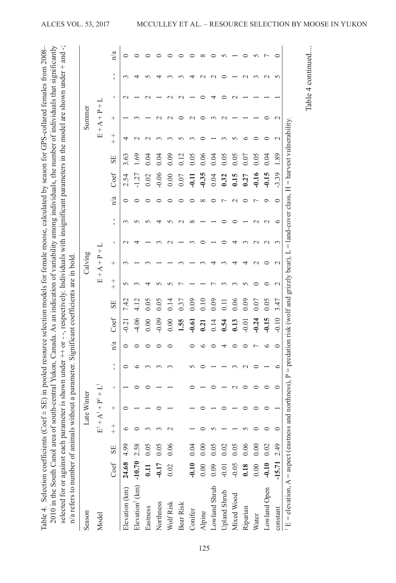Table 4. Selection coefficients (Coef ± SE) in pooled resource selection models for female moose, calculated by season for GPS-collared females from 2008–

<span id="page-12-0"></span>Table 4. Selection coefficients (Coef ± SE) in pooled resource selection models for female moose, calculated by season for GPS-collared females from 2008-

Table 4 continued....

Table 4 continued....

| Season                                    |          |      |     | Late Winter |                   |          |           |                  |                  |                                                                                                                                                                                                                                                                                                                                                                                                                                                                                                                                                                                | Calving         |             |               |              |         |      |                       | Summer          |        |            |              |
|-------------------------------------------|----------|------|-----|-------------|-------------------|----------|-----------|------------------|------------------|--------------------------------------------------------------------------------------------------------------------------------------------------------------------------------------------------------------------------------------------------------------------------------------------------------------------------------------------------------------------------------------------------------------------------------------------------------------------------------------------------------------------------------------------------------------------------------|-----------------|-------------|---------------|--------------|---------|------|-----------------------|-----------------|--------|------------|--------------|
| Model                                     |          |      |     | $E1 + A1 +$ | $+$ $\frac{1}{2}$ |          |           |                  |                  | $\boxed{\underline{\phantom{1}}}{\underline{\phantom{1}}}%{\phantom{\phantom{1}}}{\underline{\phantom{1}}}%{\phantom{\phantom{1}}}{\underline{\phantom{1}}}%{\phantom{\phantom{1}}}%{\phantom{\phantom{1}}}{\underline{\phantom{1}}}%{\phantom{\phantom{1}}}%{\phantom{\phantom{1}}}%{\phantom{\phantom{1}}}%{\phantom{\phantom{1}}}%{\phantom{\phantom{1}}}%{\phantom{\phantom{1}}}%{\phantom{\phantom{1}}}%{\phantom{\phantom{1}}}%{\phantom{\phantom{1}}}%{\phantom{\phantom{1}}}%{\phantom{\phantom{1}}}%{\phantom{\phantom}}{\underline{\phantom{1}}}%{\phantom{\phantom$ | $+4+P+$         |             |               |              |         |      | $\boxed{\phantom{1}}$ | $+4+P+$         |        |            |              |
|                                           | Coef     | SE   | $+$ | $^{+}$      | J.                | J.<br>I. | n/a       | $\mathrm{Coeff}$ | SE               | $^{+}$<br>$^{+}$                                                                                                                                                                                                                                                                                                                                                                                                                                                                                                                                                               | $^+$            | $\mathbf I$ | ı<br>f,       | n/a          | Coef    | SE   | $^{+}$<br>$^{+}$      | $^+$            | f,     | J,<br>f,   | n/a          |
| Elevation (km)                            | 24.68    | 4.99 | ∘   |             |                   |          | 0         | $-0.21$          | 7.42             |                                                                                                                                                                                                                                                                                                                                                                                                                                                                                                                                                                                |                 |             |               |              | 2.54    | 3.63 |                       |                 |        | r          | 0            |
| Elevation <sup>2</sup> (km) $-10.70$ 2.58 |          |      |     |             |                   | ≏        |           | $-4.06$          | 4.12             |                                                                                                                                                                                                                                                                                                                                                                                                                                                                                                                                                                                |                 | ₹           |               |              | 1.27    | 1.69 |                       |                 |        |            |              |
| Eastness                                  | 0.11     | 0.05 |     |             |                   | m        |           | 0.00             | 0.05             |                                                                                                                                                                                                                                                                                                                                                                                                                                                                                                                                                                                |                 |             |               |              | 0.02    | 0.04 |                       |                 |        |            |              |
| Northness                                 | $-0.17$  | 0.05 |     |             |                   |          | ⊂         | $-0.09$          | 0.05             |                                                                                                                                                                                                                                                                                                                                                                                                                                                                                                                                                                                |                 |             |               |              | $-0.06$ | 0.04 |                       |                 |        |            |              |
| Wolf Risk                                 | 0.02     | 0.06 |     |             |                   |          |           | 0.00             | 0.14             |                                                                                                                                                                                                                                                                                                                                                                                                                                                                                                                                                                                |                 |             |               |              | 0.00    | 0.09 |                       | $\sim$          |        |            |              |
| Bear Risk                                 |          |      |     |             |                   |          |           | 1.55             | 0.37             |                                                                                                                                                                                                                                                                                                                                                                                                                                                                                                                                                                                |                 |             |               |              | 0.07    | 0.12 |                       |                 |        |            |              |
| Conifer                                   | $-0.10$  | 0.04 |     |             |                   |          |           | $-0.61$          | 0.09             |                                                                                                                                                                                                                                                                                                                                                                                                                                                                                                                                                                                |                 |             |               |              | $-0.11$ | 0.05 |                       | $\sim$          |        |            |              |
| Alpine                                    | 0.00     | 0.00 |     |             |                   |          |           | 0.21             | 0.10             |                                                                                                                                                                                                                                                                                                                                                                                                                                                                                                                                                                                |                 |             |               | ${}^{\circ}$ | $-0.35$ | 0.06 |                       |                 |        |            | ${}^{\circ}$ |
| Lowland Shrub                             | 0.09     | 0.05 |     |             |                   |          |           | 0.14             | 0.09             |                                                                                                                                                                                                                                                                                                                                                                                                                                                                                                                                                                                |                 |             |               |              | 0.04    | 0.04 |                       |                 | ₹      |            |              |
| Upland Shrub                              | $-0.01$  | 0.02 |     |             |                   |          | ↤         | 0.54             | $\overline{0}$ . |                                                                                                                                                                                                                                                                                                                                                                                                                                                                                                                                                                                |                 |             |               |              | 0.32    | 0.05 |                       |                 |        |            |              |
| Mixed Wood                                | $-0.05$  | 0.05 |     |             |                   |          |           | 0.13             | 0.06             |                                                                                                                                                                                                                                                                                                                                                                                                                                                                                                                                                                                | ₹               | 4           |               |              | 0.15    | 0.05 |                       |                 | $\sim$ |            |              |
| Riparian                                  | 0.18     | 0.06 |     |             |                   |          |           | $-0.01$          | 0.09             |                                                                                                                                                                                                                                                                                                                                                                                                                                                                                                                                                                                |                 |             |               |              | 0.27    | 0.07 | ≌                     |                 |        | $\sim$     |              |
| Water                                     | 0.00     | 0.00 |     |             |                   |          |           | $-0.24$          | 0.07             |                                                                                                                                                                                                                                                                                                                                                                                                                                                                                                                                                                                | $\mathcal{C}$   | $\sim$      | $\mathcal{L}$ | r            | $-0.16$ | 0.05 |                       |                 |        | ന          | 5            |
| Lowland Open                              | $-0.10$  | 0.02 |     |             | ⊂                 |          | ৩         | $-0.15$          | 0.05             |                                                                                                                                                                                                                                                                                                                                                                                                                                                                                                                                                                                | ○               | $\sim$      | $\sim$        | $\circ$      | $-0.15$ | 0.04 |                       |                 |        | $\sim$     |              |
| constant                                  | $-15.71$ | 2.49 | 0   |             | $\circ$           | ৩        | $\subset$ | $-0.10$          | 3.47             |                                                                                                                                                                                                                                                                                                                                                                                                                                                                                                                                                                                | $\mathbf{\sim}$ | 3           | ৩             | $\subset$    | $-3.39$ | 1.89 |                       | $\mathbf{\sim}$ |        | $\sqrt{2}$ |              |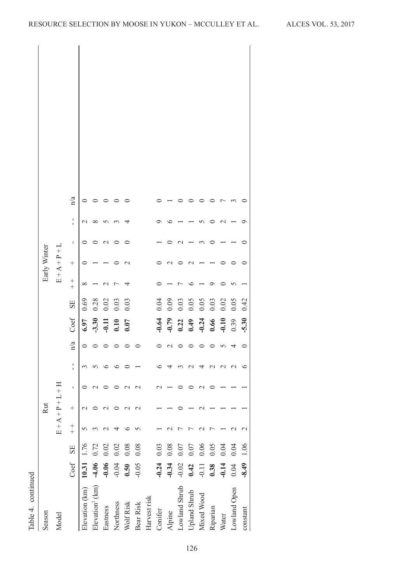| Table 4. continued          |         |      |             |                  |   |                   |                         |                                                                |                                                                                                |          |               |   |          |     |
|-----------------------------|---------|------|-------------|------------------|---|-------------------|-------------------------|----------------------------------------------------------------|------------------------------------------------------------------------------------------------|----------|---------------|---|----------|-----|
| Season                      |         |      |             | Rut              |   |                   |                         |                                                                |                                                                                                |          | Early Winter  |   |          |     |
| Model                       |         |      | $E + A + P$ |                  |   |                   |                         |                                                                |                                                                                                |          | $E + A + P +$ |   |          |     |
|                             | Coef    | SE   | $+$         | $^{+}$           | ı | ٠<br>$\mathbf{I}$ | $\mathbf{n}/\mathbf{a}$ | Coef                                                           | ${\rm SE}$                                                                                     | $+$      | $^{+}$        | ı | l.       | n/a |
| Elevation (km)              | 10.31   | 1.76 |             | $\mathrel{\sim}$ |   |                   |                         |                                                                |                                                                                                | $\infty$ |               |   |          |     |
| Elevation <sup>2</sup> (km) | $-4.06$ | 0.72 |             |                  |   |                   |                         | $6.97$<br>$-3.30$<br>$-0.11$<br>$0.10$<br>$0.07$               | $0.69$<br>$0.28$<br>$0.03$<br>$0.03$                                                           |          |               |   | $\infty$ |     |
| Eastness                    | $-0.06$ | 0.02 |             | $\mathcal{C}$    |   | ≌                 |                         |                                                                |                                                                                                |          |               |   |          |     |
| Northness                   | $-0.04$ | 0.02 |             |                  |   | ≌                 |                         |                                                                |                                                                                                |          |               |   |          |     |
| Wolf Risk                   | 0.50    | 0.08 |             | $\mathcal{L}$    |   |                   |                         |                                                                |                                                                                                |          |               |   |          |     |
| Bear Risk                   | $-0.05$ | 0.08 |             | $\mathcal{L}$    |   |                   |                         |                                                                |                                                                                                |          |               |   |          |     |
| Harvest risk                |         |      |             |                  |   |                   |                         |                                                                |                                                                                                |          |               |   |          |     |
| Conifer                     | $-0.24$ | 0.03 |             |                  |   |                   |                         |                                                                |                                                                                                |          |               |   |          |     |
| Alpine                      | $-0.34$ | 0.08 |             |                  |   |                   |                         |                                                                |                                                                                                |          |               |   |          |     |
| Lowland Shrub               | $-0.02$ | 0.07 |             |                  |   |                   |                         |                                                                |                                                                                                |          |               |   |          |     |
| Upland Shrub                | 0.42    | 0.07 |             |                  |   |                   |                         |                                                                |                                                                                                |          |               |   |          |     |
| Mixed Wood                  | $-0.11$ | 0.06 |             |                  |   |                   |                         | $-0.79$<br>$-0.22$<br>$-0.49$<br>$-0.54$<br>$-0.56$<br>$-0.54$ | $\begin{array}{c} 0.04 \\ 0.09 \\ 0.03 \\ 0.05 \\ 0.05 \\ 0.03 \\ 0.03 \\ 0.03 \\ \end{array}$ |          |               |   |          |     |
| Riparian                    | 0.38    | 0.05 |             |                  |   |                   |                         |                                                                |                                                                                                |          |               |   |          |     |
| Water                       | $-0.14$ | 0.04 |             |                  |   |                   | n                       |                                                                |                                                                                                |          |               |   |          |     |
| Lowland Open                | $0.04$  | 0.04 |             |                  |   | $\sim$            | 4                       | 0.39                                                           | 0.05                                                                                           |          |               |   |          |     |
| constant                    | $-8.49$ | 1.06 | c           |                  |   | ৩                 | 0                       | $-5.30$                                                        | 0.42                                                                                           |          |               |   | ○        |     |
|                             |         |      |             |                  |   |                   |                         |                                                                |                                                                                                |          |               |   |          |     |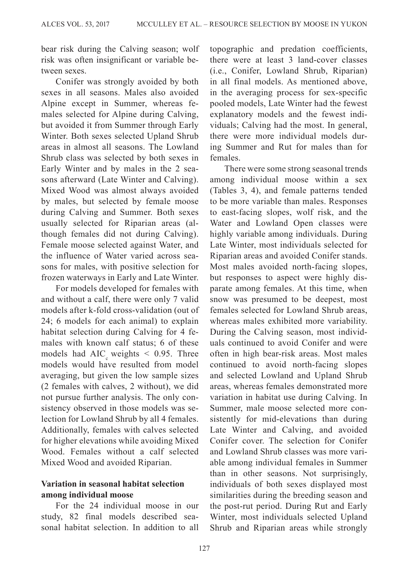bear risk during the Calving season; wolf risk was often insignificant or variable between sexes.

Conifer was strongly avoided by both sexes in all seasons. Males also avoided Alpine except in Summer, whereas females selected for Alpine during Calving, but avoided it from Summer through Early Winter. Both sexes selected Upland Shrub areas in almost all seasons. The Lowland Shrub class was selected by both sexes in Early Winter and by males in the 2 seasons afterward (Late Winter and Calving). Mixed Wood was almost always avoided by males, but selected by female moose during Calving and Summer. Both sexes usually selected for Riparian areas (although females did not during Calving). Female moose selected against Water, and the influence of Water varied across seasons for males, with positive selection for frozen waterways in Early and Late Winter.

For models developed for females with and without a calf, there were only 7 valid models after k-fold cross-validation (out of 24; 6 models for each animal) to explain habitat selection during Calving for 4 females with known calf status; 6 of these models had AIC weights  $< 0.95$ . Three models would have resulted from model averaging, but given the low sample sizes (2 females with calves, 2 without), we did not pursue further analysis. The only consistency observed in those models was selection for Lowland Shrub by all 4 females. Additionally, females with calves selected for higher elevations while avoiding Mixed Wood. Females without a calf selected Mixed Wood and avoided Riparian.

## **Variation in seasonal habitat selection among individual moose**

For the 24 individual moose in our study, 82 final models described seasonal habitat selection. In addition to all topographic and predation coefficients, there were at least 3 land-cover classes (i.e., Conifer, Lowland Shrub, Riparian) in all final models. As mentioned above, in the averaging process for sex-specific pooled models, Late Winter had the fewest explanatory models and the fewest individuals; Calving had the most. In general, there were more individual models during Summer and Rut for males than for females.

There were some strong seasonal trends among individual moose within a sex ([Tables 3,](#page-10-0) [4\)](#page-12-0), and female patterns tended to be more variable than males. Responses to east-facing slopes, wolf risk, and the Water and Lowland Open classes were highly variable among individuals. During Late Winter, most individuals selected for Riparian areas and avoided Conifer stands. Most males avoided north-facing slopes, but responses to aspect were highly disparate among females. At this time, when snow was presumed to be deepest, most females selected for Lowland Shrub areas, whereas males exhibited more variability. During the Calving season, most individuals continued to avoid Conifer and were often in high bear-risk areas. Most males continued to avoid north-facing slopes and selected Lowland and Upland Shrub areas, whereas females demonstrated more variation in habitat use during Calving. In Summer, male moose selected more consistently for mid-elevations than during Late Winter and Calving, and avoided Conifer cover. The selection for Conifer and Lowland Shrub classes was more variable among individual females in Summer than in other seasons. Not surprisingly, individuals of both sexes displayed most similarities during the breeding season and the post-rut period. During Rut and Early Winter, most individuals selected Upland Shrub and Riparian areas while strongly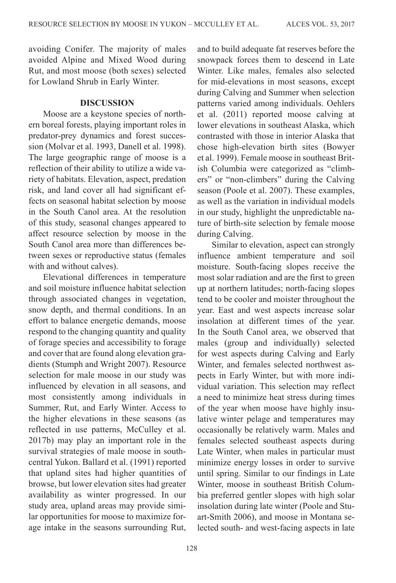avoiding Conifer. The majority of males avoided Alpine and Mixed Wood during Rut, and most moose (both sexes) selected for Lowland Shrub in Early Winter.

#### **DISCUSSION**

Moose are a keystone species of northern boreal forests, playing important roles in predator-prey dynamics and forest succession ([Molvar et al. 1993,](#page-22-7) [Danell et al. 1998\)](#page-20-12). The large geographic range of moose is a reflection of their ability to utilize a wide variety of habitats. Elevation, aspect, predation risk, and land cover all had significant effects on seasonal habitat selection by moose in the South Canol area. At the resolution of this study, seasonal changes appeared to affect resource selection by moose in the South Canol area more than differences between sexes or reproductive status (females with and without calves).

Elevational differences in temperature and soil moisture influence habitat selection through associated changes in vegetation, snow depth, and thermal conditions. In an effort to balance energetic demands, moose respond to the changing quantity and quality of forage species and accessibility to forage and cover that are found along elevation gradients (Stumph and Wright 2007). Resource selection for male moose in our study was influenced by elevation in all seasons, and most consistently among individuals in Summer, Rut, and Early Winter. Access to the higher elevations in these seasons (as reflected in use patterns, [McCulley et al.](#page-21-11) [2017b](#page-21-11)) may play an important role in the survival strategies of male moose in southcentral Yukon. [Ballard et al. \(1991\)](#page-19-5) reported that upland sites had higher quantities of browse, but lower elevation sites had greater availability as winter progressed. In our study area, upland areas may provide similar opportunities for moose to maximize forage intake in the seasons surrounding Rut,

128

and to build adequate fat reserves before the snowpack forces them to descend in Late Winter. Like males, females also selected for mid-elevations in most seasons, except during Calving and Summer when selection patterns varied among individuals. Oehlers et al. (2011) reported moose calving at lower elevations in southeast Alaska, which contrasted with those in interior Alaska that chose high-elevation birth sites [\(Bowyer](#page-20-13) et [al. 1999\)](#page-20-13). Female moose in southeast British Columbia were categorized as "climbers" or "non-climbers" during the Calving season ([Poole et al. 2007\)](#page-22-8). These examples, as well as the variation in individual models in our study, highlight the unpredictable nature of birth-site selection by female moose during Calving.

Similar to elevation, aspect can strongly influence ambient temperature and soil moisture. South-facing slopes receive the most solar radiation and are the first to green up at northern latitudes; north-facing slopes tend to be cooler and moister throughout the year. East and west aspects increase solar insolation at different times of the year. In the South Canol area, we observed that males (group and individually) selected for west aspects during Calving and Early Winter, and females selected northwest aspects in Early Winter, but with more individual variation. This selection may reflect a need to minimize heat stress during times of the year when moose have highly insulative winter pelage and temperatures may occasionally be relatively warm. Males and females selected southeast aspects during Late Winter, when males in particular must minimize energy losses in order to survive until spring. Similar to our findings in Late Winter, moose in southeast British Columbia preferred gentler slopes with high solar insolation during late winter (Poole and Stuart-Smith 2006), and moose in Montana selected south- and west-facing aspects in late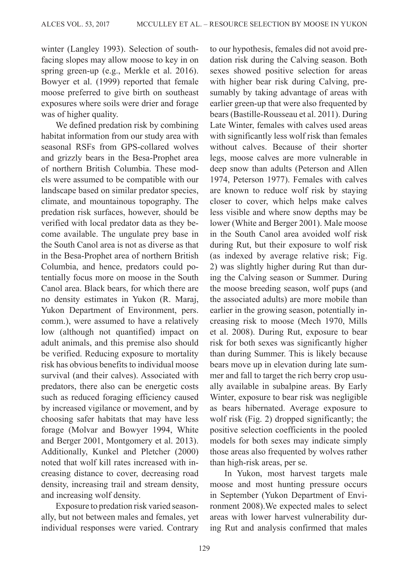winter [\(Langley 1993](#page-21-12)). Selection of southfacing slopes may allow moose to key in on spring green-up (e.g., [Merkle et al. 2016\)](#page-21-13). [Bowyer et al. \(1999\)](#page-20-13) reported that female moose preferred to give birth on southeast exposures where soils were drier and forage was of higher quality.

We defined predation risk by combining habitat information from our study area with seasonal RSFs from GPS-collared wolves and grizzly bears in the Besa-Prophet area of northern British Columbia. These models were assumed to be compatible with our landscape based on similar predator species, climate, and mountainous topography. The predation risk surfaces, however, should be verified with local predator data as they become available. The ungulate prey base in the South Canol area is not as diverse as that in the Besa-Prophet area of northern British Columbia, and hence, predators could potentially focus more on moose in the South Canol area. Black bears, for which there are no density estimates in Yukon (R. Maraj, Yukon Department of Environment, pers. comm.), were assumed to have a relatively low (although not quantified) impact on adult animals, and this premise also should be verified. Reducing exposure to mortality risk has obvious benefits to individual moose survival (and their calves). Associated with predators, there also can be energetic costs such as reduced foraging efficiency caused by increased vigilance or movement, and by choosing safer habitats that may have less forage ([Molvar and Bowyer 1994,](#page-22-9) White and Berger 2001, [Montgomery et al. 2013\)](#page-22-10). Additionally, [Kunkel and Pletcher \(2000\)](#page-21-14) noted that wolf kill rates increased with increasing distance to cover, decreasing road density, increasing trail and stream density, and increasing wolf density.

Exposure to predation risk varied seasonally, but not between males and females, yet individual responses were varied. Contrary to our hypothesis, females did not avoid predation risk during the Calving season. Both sexes showed positive selection for areas with higher bear risk during Calving, presumably by taking advantage of areas with earlier green-up that were also frequented by bears [\(Bastille-Rousseau et al. 2011](#page-19-6)). During Late Winter, females with calves used areas with significantly less wolf risk than females without calves. Because of their shorter legs, moose calves are more vulnerable in deep snow than adults [\(Peterson and Allen](#page-22-2) [1974](#page-22-2), Peterson 1977). Females with calves are known to reduce wolf risk by staying closer to cover, which helps make calves less visible and where snow depths may be lower (White and Berger 2001). Male moose in the South Canol area avoided wolf risk during Rut, but their exposure to wolf risk (as indexed by average relative risk; [Fig.](#page-8-0) [2\)](#page-8-0) was slightly higher during Rut than during the Calving season or Summer. During the moose breeding season, wolf pups (and the associated adults) are more mobile than earlier in the growing season, potentially increasing risk to moose ([Mech 1970](#page-21-15), [Mills](#page-22-11) et [al. 2008](#page-22-11)). During Rut, exposure to bear risk for both sexes was significantly higher than during Summer. This is likely because bears move up in elevation during late summer and fall to target the rich berry crop usually available in subalpine areas. By Early Winter, exposure to bear risk was negligible as bears hibernated. Average exposure to wolf risk [\(Fig. 2\)](#page-8-0) dropped significantly; the positive selection coefficients in the pooled models for both sexes may indicate simply those areas also frequented by wolves rather than high-risk areas, per se.

In Yukon, most harvest targets male moose and most hunting pressure occurs in September (Yukon Department of Environment 2008).We expected males to select areas with lower harvest vulnerability during Rut and analysis confirmed that males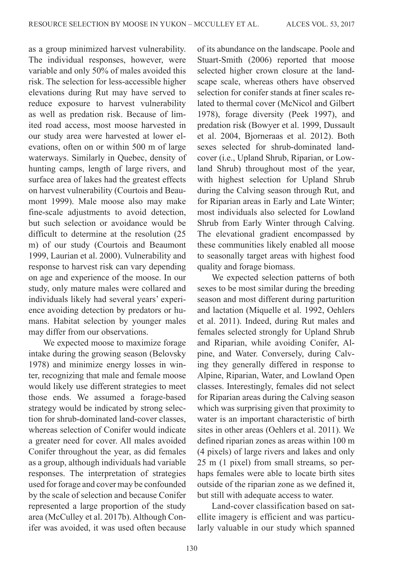as a group minimized harvest vulnerability. The individual responses, however, were variable and only 50% of males avoided this risk. The selection for less-accessible higher elevations during Rut may have served to reduce exposure to harvest vulnerability as well as predation risk. Because of limited road access, most moose harvested in our study area were harvested at lower elevations, often on or within 500 m of large waterways. Similarly in Quebec, density of hunting camps, length of large rivers, and surface area of lakes had the greatest effects on harvest vulnerability [\(Courtois and Beau](#page-20-14)[mont 1999](#page-20-14)). Male moose also may make fine-scale adjustments to avoid detection, but such selection or avoidance would be difficult to determine at the resolution (25 m) of our study ([Courtois and Beaumont](#page-20-14) [1999](#page-20-14), [Laurian et al. 2000](#page-21-16)). Vulnerability and response to harvest risk can vary depending on age and experience of the moose. In our study, only mature males were collared and individuals likely had several years' experience avoiding detection by predators or humans. Habitat selection by younger males may differ from our observations.

We expected moose to maximize forage intake during the growing season ([Belovsky](#page-19-7) [1978](#page-19-7)) and minimize energy losses in winter, recognizing that male and female moose would likely use different strategies to meet those ends. We assumed a forage-based strategy would be indicated by strong selection for shrub-dominated land-cover classes, whereas selection of Conifer would indicate a greater need for cover. All males avoided Conifer throughout the year, as did females as a group, although individuals had variable responses. The interpretation of strategies used for forage and cover may be confounded by the scale of selection and because Conifer represented a large proportion of the study area ([McCulley et al. 2017b\)](#page-21-11). Although Conifer was avoided, it was used often because of its abundance on the landscape. Poole and Stuart-Smith (2006) reported that moose selected higher crown closure at the landscape scale, whereas others have observed selection for conifer stands at finer scales related to thermal cover ([McNicol and Gilbert](#page-21-17) [1978](#page-21-17)), forage diversity (Peek 1997), and predation risk ([Bowyer et al. 1999](#page-20-13), [Dussault](#page-20-15) et al. [2004](#page-20-15), Bjorneraas et al. 2012). Both sexes selected for shrub-dominated landcover (i.e., Upland Shrub, Riparian, or Lowland Shrub) throughout most of the year, with highest selection for Upland Shrub during the Calving season through Rut, and for Riparian areas in Early and Late Winter; most individuals also selected for Lowland Shrub from Early Winter through Calving. The elevational gradient encompassed by these communities likely enabled all moose to seasonally target areas with highest food quality and forage biomass.

We expected selection patterns of both sexes to be most similar during the breeding season and most different during parturition and lactation ([Miquelle et al. 1992](#page-22-3), Oehlers et al. 2011). Indeed, during Rut males and females selected strongly for Upland Shrub and Riparian, while avoiding Conifer, Alpine, and Water. Conversely, during Calving they generally differed in response to Alpine, Riparian, Water, and Lowland Open classes. Interestingly, females did not select for Riparian areas during the Calving season which was surprising given that proximity to water is an important characteristic of birth sites in other areas (Oehlers et al. 2011). We defined riparian zones as areas within 100 m (4 pixels) of large rivers and lakes and only 25 m (1 pixel) from small streams, so perhaps females were able to locate birth sites outside of the riparian zone as we defined it, but still with adequate access to water.

Land-cover classification based on satellite imagery is efficient and was particularly valuable in our study which spanned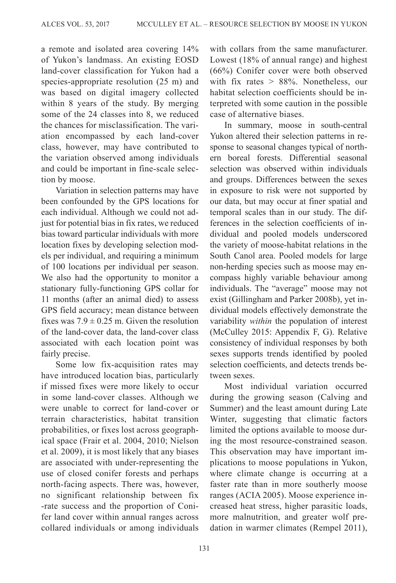a remote and isolated area covering 14% of Yukon's landmass. An existing EOSD land-cover classification for Yukon had a species-appropriate resolution (25 m) and was based on digital imagery collected within 8 years of the study. By merging some of the 24 classes into 8, we reduced the chances for misclassification. The variation encompassed by each land-cover class, however, may have contributed to the variation observed among individuals and could be important in fine-scale selection by moose.

Variation in selection patterns may have been confounded by the GPS locations for each individual. Although we could not adjust for potential bias in fix rates, we reduced bias toward particular individuals with more location fixes by developing selection models per individual, and requiring a minimum of 100 locations per individual per season. We also had the opportunity to monitor a stationary fully-functioning GPS collar for 11 months (after an animal died) to assess GPS field accuracy; mean distance between fixes was  $7.9 \pm 0.25$  m. Given the resolution of the land-cover data, the land-cover class associated with each location point was fairly precise.

Some low fix-acquisition rates may have introduced location bias, particularly if missed fixes were more likely to occur in some land-cover classes. Although we were unable to correct for land-cover or terrain characteristics, habitat transition probabilities, or fixes lost across geographical space ([Frair et al. 2004](#page-20-16), 2010; Nielson et al. 2009), it is most likely that any biases are associated with under-representing the use of closed conifer forests and perhaps north-facing aspects. There was, however, no significant relationship between fix -rate success and the proportion of Conifer land cover within annual ranges across collared individuals or among individuals with collars from the same manufacturer. Lowest (18% of annual range) and highest (66%) Conifer cover were both observed with fix rates  $> 88\%$ . Nonetheless, our habitat selection coefficients should be interpreted with some caution in the possible case of alternative biases.

In summary, moose in south-central Yukon altered their selection patterns in response to seasonal changes typical of northern boreal forests. Differential seasonal selection was observed within individuals and groups. Differences between the sexes in exposure to risk were not supported by our data, but may occur at finer spatial and temporal scales than in our study. The differences in the selection coefficients of individual and pooled models underscored the variety of moose-habitat relations in the South Canol area. Pooled models for large non-herding species such as moose may encompass highly variable behaviour among individuals. The "average" moose may not exist [\(Gillingham and Parker 2008b\)](#page-20-8), yet individual models effectively demonstrate the variability *within* the population of interest ([McCulley 2015:](#page-21-9) Appendix F, G). Relative consistency of individual responses by both sexes supports trends identified by pooled selection coefficients, and detects trends between sexes.

Most individual variation occurred during the growing season (Calving and Summer) and the least amount during Late Winter, suggesting that climatic factors limited the options available to moose during the most resource-constrained season. This observation may have important implications to moose populations in Yukon, where climate change is occurring at a faster rate than in more southerly moose ranges ([ACIA 2005](#page-19-8)). Moose experience increased heat stress, higher parasitic loads, more malnutrition, and greater wolf predation in warmer climates (Rempel 2011),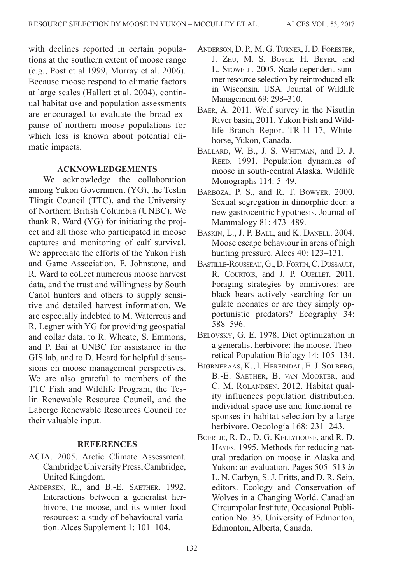with declines reported in certain populations at the southern extent of moose range (e.g., Post et al.1999, [Murray et al.](#page-22-12) 2006). Because moose respond to climatic factors at large scales [\(Hallett et al.](#page-20-17) 2004), continual habitat use and population assessments are encouraged to evaluate the broad expanse of northern moose populations for which less is known about potential climatic impacts.

## **ACKNOWLEDGEMENTS**

We acknowledge the collaboration among Yukon Government (YG), the Teslin Tlingit Council (TTC), and the University of Northern British Columbia (UNBC). We thank R. Ward (YG) for initiating the project and all those who participated in moose captures and monitoring of calf survival. We appreciate the efforts of the Yukon Fish and Game Association, F. Johnstone, and R. Ward to collect numerous moose harvest data, and the trust and willingness by South Canol hunters and others to supply sensitive and detailed harvest information. We are especially indebted to M. Waterreus and R. Legner with YG for providing geospatial and collar data, to R. Wheate, S. Emmons, and P. Bai at UNBC for assistance in the GIS lab, and to D. Heard for helpful discussions on moose management perspectives. We are also grateful to members of the TTC Fish and Wildlife Program, the Teslin Renewable Resource Council, and the Laberge Renewable Resources Council for their valuable input.

#### **REFERENCES**

- <span id="page-19-8"></span>ACIA. 2005. Arctic Climate Assessment. Cambridge University Press, Cambridge, United Kingdom.
- <span id="page-19-0"></span>ANDERSEN, R., and B.-E. SAETHER. 1992. Interactions between a generalist herbivore, the moose, and its winter food resources: a study of behavioural variation. Alces Supplement 1: 101–104.
- Anderson, D. P., M. G. Turner, J. D. Forester, J. Zhu, M. S. Boyce, H. Beyer, and L. Stowell. 2005. Scale-dependent summer resource selection by reintroduced elk in Wisconsin, USA. Journal of Wildlife Management 69: 298–310.
- <span id="page-19-4"></span>Baer, A. 2011. Wolf survey in the Nisutlin River basin, 2011. Yukon Fish and Wildlife Branch Report TR-11-17, Whitehorse, Yukon, Canada.
- <span id="page-19-5"></span>Ballard, W. B., J. S. Whitman, and D. J. REED. 1991. Population dynamics of moose in south-central Alaska. Wildlife Monographs 114: 5–49.
- <span id="page-19-2"></span>BARBOZA, P. S., and R. T. BOWYER. 2000. Sexual segregation in dimorphic deer: a new gastrocentric hypothesis. Journal of Mammalogy 81: 473–489.
- <span id="page-19-1"></span>Baskin, L., J. P. Ball, and K. Danell. 2004. Moose escape behaviour in areas of high hunting pressure. Alces 40: 123–131.
- <span id="page-19-6"></span>Bastille-Rousseau, G., D. Fortin, C. Dussault, R. Courtois, and J. P. Ouellet. 2011. Foraging strategies by omnivores: are black bears actively searching for ungulate neonates or are they simply opportunistic predators? Ecography 34: 588–596.
- <span id="page-19-7"></span>Belovsky, G. E. 1978. Diet optimization in a generalist herbivore: the moose. Theoretical Population Biology 14: 105–134.
- Bjørneraas, K., I. Herfindal, E. J. Solberg, B.-E. Saether, B. van Moorter, and C. M. ROLANDSEN. 2012. Habitat quality influences population distribution, individual space use and functional responses in habitat selection by a large herbivore. Oecologia 168: 231–243.
- <span id="page-19-3"></span>Boertje, R. D., D. G. Kellyhouse, and R. D. Hayes. 1995. Methods for reducing natural predation on moose in Alaska and Yukon: an evaluation. Pages 505–513 *in* L. N. Carbyn, S. J. Fritts, and D. R. Seip, editors. Ecology and Conservation of Wolves in a Changing World. Canadian Circumpolar Institute, Occasional Publication No. 35. University of Edmonton, Edmonton, Alberta, Canada.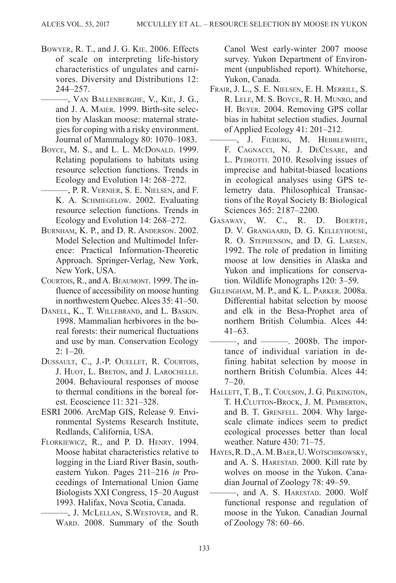- <span id="page-20-0"></span>Bowyer, R. T., and J. G. Kie. 2006. Effects of scale on interpreting life-history characteristics of ungulates and carnivores. Diversity and Distributions 12: 244–257.
- <span id="page-20-13"></span>———, Van Ballenberghe, V., Kie, J. G., and J. A. Maier. 1999. Birth-site selection by Alaskan moose: maternal strategies for coping with a risky environment. Journal of Mammalogy 80: 1070–1083.
- <span id="page-20-11"></span><span id="page-20-5"></span>BOYCE, M. S., and L. L. McDONALD. 1999. Relating populations to habitats using resource selection functions. Trends in Ecology and Evolution 14: 268–272.
	- ———, P. R. Vernier, S. E. Nielsen, and F. K. A. SCHMIEGELOW. 2002. Evaluating resource selection functions. Trends in Ecology and Evolution 14: 268–272.
- <span id="page-20-10"></span>Burnham, K. P., and D. R. Anderson. 2002. Model Selection and Multimodel Inference: Practical Information-Theoretic Approach. Springer-Verlag, New York, New York, USA.
- <span id="page-20-14"></span>COURTOIS, R., and A. BEAUMONT. 1999. The influence of accessibility on moose hunting in northwestern Quebec. Alces 35: 41–50.
- <span id="page-20-12"></span>Danell, K., T. Willebrand, and L. Baskin. 1998. Mammalian herbivores in the boreal forests: their numerical fluctuations and use by man. Conservation Ecology 2: 1–20.
- <span id="page-20-15"></span>Dussault, C., J.-P. Ouellet, R. Courtois, J. HUOT, L. BRETON, and J. LAROCHELLE. 2004. Behavioural responses of moose to thermal conditions in the boreal forest. Ecoscience 11: 321–328.
- <span id="page-20-9"></span>ESRI 2006. ArcMap GIS, Release 9. Environmental Systems Research Institute, Redlands, California, USA.
- <span id="page-20-6"></span><span id="page-20-3"></span>Florkiewicz, R., and P. D. Henry. 1994. Moose habitat characteristics relative to logging in the Liard River Basin, southeastern Yukon. Pages 211–216 *in* Proceedings of International Union Game Biologists XXI Congress, 15–20 August 1993. Halifax, Nova Scotia, Canada.
	- ———, J. McLellan, S.Westover, and R. WARD. 2008. Summary of the South

Canol West early-winter 2007 moose survey. Yukon Department of Environment (unpublished report). Whitehorse, Yukon, Canada.

- <span id="page-20-16"></span>Frair, J. L., S. E. Nielsen, E. H. Merrill, S. R. Lele, M. S. Boyce, R. H. Munro, and H. Beyer. 2004. Removing GPS collar bias in habitat selection studies. Journal of Applied Ecology 41: 201–212.
- ———, J. Fieberg, M. Hebblewhite, F. CAGNACCI, N. J. DECESARE, and L. PEDROTTI, 2010. Resolving issues of imprecise and habitat-biased locations in ecological analyses using GPS telemetry data. Philosophical Transactions of the Royal Society B: Biological Sciences 365: 2187–2200.
- <span id="page-20-2"></span>Gasaway, W. C., R. D. Boertje, D. V. Grangaard, D. G. Kelleyhouse, R. O. Stephenson, and D. G. Larsen. 1992. The role of predation in limiting moose at low densities in Alaska and Yukon and implications for conservation. Wildlife Monographs 120: 3–59.
- <span id="page-20-7"></span>Gillingham, M. P., and K. L. Parker. 2008a. Differential habitat selection by moose and elk in the Besa-Prophet area of northern British Columbia. Alces 44: 41–63.
- <span id="page-20-8"></span>——, and ————. 2008b. The importance of individual variation in defining habitat selection by moose in northern British Columbia. Alces 44:  $7 - 20$ .
- <span id="page-20-17"></span>Hallett, T. B., T. Coulson, J. G. Pilkington, T. H.Clutton-Brock, J. M. Pemberton, and B. T. GRENFELL. 2004. Why largescale climate indices seem to predict ecological processes better than local weather. Nature 430: 71–75.
- <span id="page-20-1"></span>Hayes, R. D., A. M. Baer, U. Wotschikowsky, and A. S. HARESTAD. 2000. Kill rate by wolves on moose in the Yukon. Canadian Journal of Zoology 78: 49–59.
- <span id="page-20-4"></span>-, and A. S. HARESTAD. 2000. Wolf functional response and regulation of moose in the Yukon. Canadian Journal of Zoology 78: 60–66.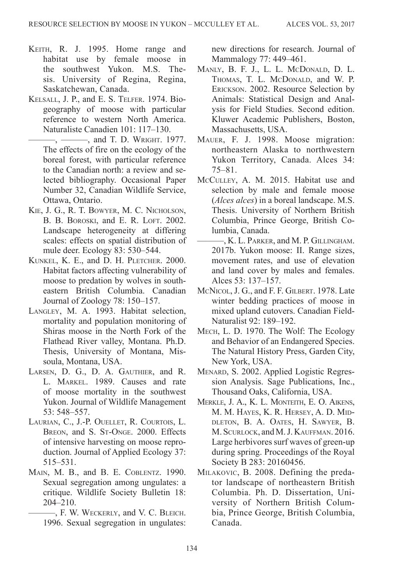- KEITH, R. J. 1995. Home range and habitat use by female moose in the southwest Yukon. M.S. Thesis. University of Regina, Regina, Saskatchewan, Canada.
- <span id="page-21-4"></span><span id="page-21-1"></span>Kelsall, J. P., and E. S. Telfer. 1974. Biogeography of moose with particular reference to western North America. Naturaliste Canadien 101: 117–130.
	- $-$ ,  $-$ , and T. D. Wright. 1977. The effects of fire on the ecology of the boreal forest, with particular reference to the Canadian north: a review and selected bibliography. Occasional Paper Number 32, Canadian Wildlife Service, Ottawa, Ontario.
- <span id="page-21-0"></span>Kie, J. G., R. T. Bowyer, M. C. Nicholson, B. B. BOROSKI, and E. R. LOFT. 2002. Landscape heterogeneity at differing scales: effects on spatial distribution of mule deer. Ecology 83: 530–544.
- <span id="page-21-14"></span>KUNKEL, K. E., and D. H. PLETCHER. 2000. Habitat factors affecting vulnerability of moose to predation by wolves in southeastern British Columbia. Canadian Journal of Zoology 78: 150–157.
- <span id="page-21-12"></span>Langley, M. A. 1993. Habitat selection, mortality and population monitoring of Shiras moose in the North Fork of the Flathead River valley, Montana. Ph.D. Thesis, University of Montana, Missoula, Montana, USA.
- <span id="page-21-5"></span>LARSEN, D. G., D. A. GAUTHIER, and R. L. Markel. 1989. Causes and rate of moose mortality in the southwest Yukon. Journal of Wildlife Management 53: 548–557.
- <span id="page-21-16"></span>Laurian, C., J.-P. Ouellet, R. Courtois, L. BREON, and S. ST-ONGE, 2000. Effects of intensive harvesting on moose reproduction. Journal of Applied Ecology 37: 515–531.
- <span id="page-21-3"></span><span id="page-21-2"></span>Main, M. B., and B. E. Coblentz. 1990. Sexual segregation among ungulates: a critique. Wildlife Society Bulletin 18: 204–210.
	- ———, F. W. Weckerly, and V. C. Bleich. 1996. Sexual segregation in ungulates:

new directions for research. Journal of Mammalogy 77: 449–461.

- <span id="page-21-7"></span>Manly, B. F. J., L. L. McDonald, D. L. THOMAS, T. L. McDONALD, and W. P. Erickson. 2002. Resource Selection by Animals: Statistical Design and Analysis for Field Studies. Second edition. Kluwer Academic Publishers, Boston, Massachusetts, USA.
- <span id="page-21-6"></span>Mauer, F. J. 1998. Moose migration: northeastern Alaska to northwestern Yukon Territory, Canada. Alces 34: 75–81.
- <span id="page-21-9"></span>McCulley, A. M. 2015. Habitat use and selection by male and female moose (*Alces alces*) in a boreal landscape. M.S. Thesis. University of Northern British Columbia, Prince George, British Columbia, Canada.
- <span id="page-21-11"></span> $-$ , K. L. Parker, and M. P. Gillingham. 2017b. Yukon moose: II. Range sizes, movement rates, and use of elevation and land cover by males and females. Alces 53: 137–157.
- <span id="page-21-17"></span>McNicol, J. G., and F. F. GILBERT. 1978. Late winter bedding practices of moose in mixed upland cutovers. Canadian Field-Naturalist 92: 189–192.
- <span id="page-21-15"></span>Mech, L. D. 1970. The Wolf: The Ecology and Behavior of an Endangered Species. The Natural History Press, Garden City, New York, USA.
- <span id="page-21-10"></span>Menard, S. 2002. Applied Logistic Regression Analysis. Sage Publications, Inc., Thousand Oaks, California, USA.
- <span id="page-21-13"></span>Merkle, J. A., K. L. Monteith, E. O. Aikens, M. M. Hayes, K. R. Hersey, A. D. Middleton, B. A. Oates, H. Sawyer, B. M. SCURLOCK, and M. J. KAUFFMAN. 2016. Large herbivores surf waves of green-up during spring. Proceedings of the Royal Society B 283: 20160456.
- <span id="page-21-8"></span>Milakovic, B. 2008. Defining the predator landscape of northeastern British Columbia. Ph. D. Dissertation, University of Northern British Columbia, Prince George, British Columbia, Canada.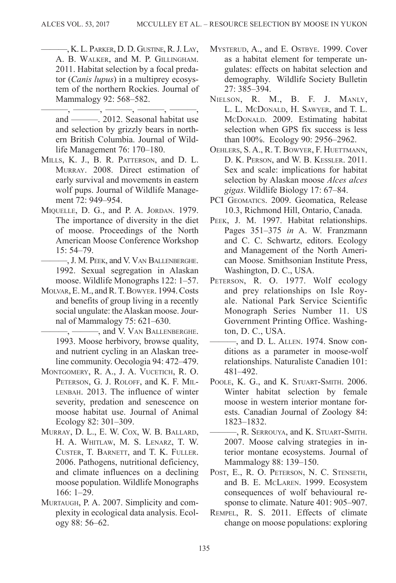<span id="page-22-4"></span>———, K. L. Parker, D. D. Gustine, R. J. Lay, A. B. Walker, and M. P. Gillingham. 2011. Habitat selection by a focal predator (*Canis lupus*) in a multiprey ecosystem of the northern Rockies. Journal of Mammalogy 92: 568–582.

<span id="page-22-5"></span> $-$ , ———, ———, ———, and ———. 2012. Seasonal habitat use and selection by grizzly bears in northern British Columbia. Journal of Wildlife Management 76: 170–180.

- <span id="page-22-11"></span>Mills, K. J., B. R. Patterson, and D. L. Murray. 2008. Direct estimation of early survival and movements in eastern wolf pups. Journal of Wildlife Management 72: 949–954.
- <span id="page-22-0"></span>MIQUELLE, D. G., and P. A. JORDAN. 1979. The importance of diversity in the diet of moose. Proceedings of the North American Moose Conference Workshop 15: 54–79.
	- ———, J. M. Peek, and V. Van Ballenberghe. 1992. Sexual segregation in Alaskan moose. Wildlife Monographs 122: 1–57.
- <span id="page-22-9"></span><span id="page-22-3"></span>MOLVAR, E. M., and R. T. BOWYER. 1994. Costs and benefits of group living in a recently social ungulate: the Alaskan moose. Journal of Mammalogy 75: 621–630.

<span id="page-22-7"></span>—, ——, and V. VAN BALLENBERGHE. 1993. Moose herbivory, browse quality, and nutrient cycling in an Alaskan treeline community. Oecologia 94: 472–479.

- <span id="page-22-10"></span>MONTGOMERY, R. A., J. A. VUCETICH, R. O. PETERSON, G. J. ROLOFF, and K. F. MIL-LENBAH. 2013. The influence of winter severity, predation and senescence on moose habitat use. Journal of Animal Ecology 82: 301–309.
- <span id="page-22-12"></span>Murray, D. L., E. W. Cox, W. B. Ballard, H. A. Whitlaw, M. S. Lenarz, T. W. Custer, T. Barnett, and T. K. Fuller. 2006. Pathogens, nutritional deficiency, and climate influences on a declining moose population. Wildlife Monographs 166: 1–29.
- <span id="page-22-6"></span>Murtaugh, P. A. 2007. Simplicity and complexity in ecological data analysis. Ecology 88: 56–62.
- <span id="page-22-1"></span>MYSTERUD, A., and E. OSTBYE. 1999. Cover as a habitat element for temperate ungulates: effects on habitat selection and demography. Wildlife Society Bulletin 27: 385–394.
- Nielson, R. M., B. F. J. Manly, L. L. McDonald, H. Sawyer, and T. L. McDonald. 2009. Estimating habitat selection when GPS fix success is less than 100%. Ecology 90: 2956–2962.
- Oehlers, S. A., R. T. Bowyer, F. Huettmann, D. K. Person, and W. B. Kessler. 2011. Sex and scale: implications for habitat selection by Alaskan moose *Alces alces gigas*. Wildlife Biology 17: 67–84.
- PCI Geomatics. 2009. Geomatica, Release 10.3, Richmond Hill, Ontario, Canada.
- PEEK, J. M. 1997. Habitat relationships. Pages 351–375 *in* A. W. Franzmann and C. C. Schwartz, editors. Ecology and Management of the North American Moose. Smithsonian Institute Press, Washington, D. C., USA.
- PETERSON, R. O. 1977. Wolf ecology and prey relationships on Isle Royale. National Park Service Scientific Monograph Series Number 11. US Government Printing Office. Washington, D. C., USA.
- <span id="page-22-2"></span>———, and D. L. Allen. 1974. Snow conditions as a parameter in moose-wolf relationships. Naturaliste Canadien 101: 481–492.
- POOLE, K. G., and K. STUART-SMITH. 2006. Winter habitat selection by female moose in western interior montane forests. Canadian Journal of Zoology 84: 1823–1832.
- <span id="page-22-8"></span>-, R. SERROUYA, and K. STUART-SMITH. 2007. Moose calving strategies in interior montane ecosystems. Journal of Mammalogy 88: 139–150.
- POST, E., R. O. PETERSON, N. C. STENSETH, and B. E. McLaren. 1999. Ecosystem consequences of wolf behavioural response to climate. Nature 401: 905–907.
- Rempel, R. S. 2011. Effects of climate change on moose populations: exploring